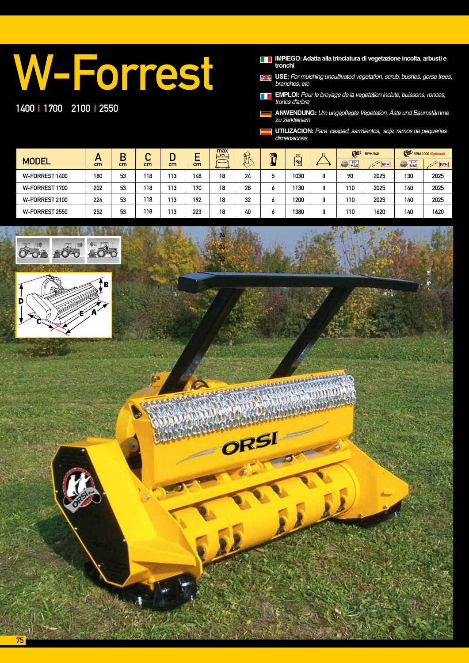## W-Forrest

1400 | 1700 | 2100 | 2550

**IMPIEGO: Adatta alla trinciatura di vegetazione incolta, arbusti e tronchi**

X **USE:** *For mulching uncultivated vegetation, scrub, bushes, gorse trees, branches, etc*

**EMPLOI:** *Pour le broyage de la vegetation inclute, buissons, ronces,*  **THE** troncs d'arbre

**ANWENDUNG:** Um ungepflegte Vegetation, Äste und Baumstämme zu zerkleinern

**UTILIZACION:** *Para cesped, sarmientos, soja, ramos de pequeñas dimensiones*

|                | A   | В  | ∽       |     |     | max<br>cm         | A  | o. | $\mathbf{a}$             | G        | <b>RPM 540</b>                                                                                                                      |                       | RPM 1000 (Optional)                      |
|----------------|-----|----|---------|-----|-----|-------------------|----|----|--------------------------|----------|-------------------------------------------------------------------------------------------------------------------------------------|-----------------------|------------------------------------------|
| <b>MODEL</b>   | cm  | cm | u<br>cm | cm  | cm  | <b>Anatomical</b> |    | s. | $\overline{\mathsf{Kg}}$ | MAX<br>編 | RPM<br>$\label{eq:2.1} \mathcal{L}_{\mathcal{A}}(\mathcal{L}_{\mathcal{A}}) = \mathcal{L}_{\mathcal{A}}(\mathcal{L}_{\mathcal{A}})$ | $\frac{HP}{MAX}$<br>顯 | $\mathbb{R}^{\mathbb{Z}^{\times d}}$ RPM |
| W-FORREST 1400 | 180 | 53 | 118     | 113 | 148 | 18                | 24 | 5  | 1030                     | 90       | 2025                                                                                                                                | 130                   | 2025                                     |
| W-FORREST 1700 | 202 | 53 | 118     | 113 | 170 | 18                | 28 | ٥  | 1130                     | 110      | 2025                                                                                                                                | 140                   | 2025                                     |
| W-FORREST 2100 | 224 | 53 | 118     | 113 | 192 | 18                | 32 | ٥  | 1200                     | 110      | 2025                                                                                                                                | 140                   | 2025                                     |
| W-FORREST 2550 | 252 | 53 | 118     | 113 | 223 | 18                | 40 | ٥  | 1380                     | 110      | 1620                                                                                                                                | 140                   | 1620                                     |